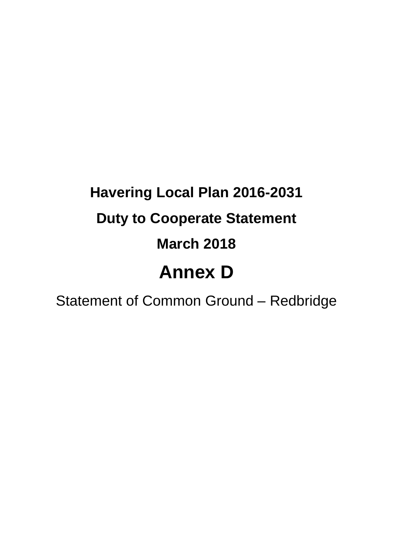## **Havering Local Plan 2016-2031 Duty to Cooperate Statement March 2018 Annex D**

Statement of Common Ground – Redbridge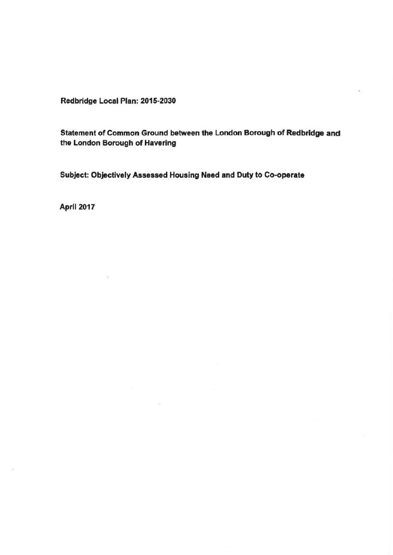Redbridge Local Plan: 2015-2030

Statement of Common Ground between the London Borough of **Redbridge** and the London Borough of Havering

Subject: Objectively **Assessed** Housing **Need** and Duty to **Co-operate** 

April 2017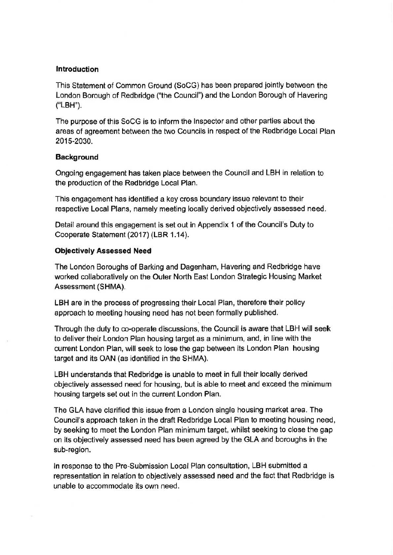## **Introduction**

This Statement of Common Ground (SoCG) has been prepared jointly between the London Borough of Redbridge ("the Council") and the London Borough of Havering ("LBH").

The purpose of this SoCG is to inform the Inspector and other parties about the areas of agreement between the two Councils in respect of the Redbridge Local Plan 2015-2030.

## **Background**

Ongoing engagement has taken place between the Council and LBH in relation to the production of the Redbridge Local Plan.

This engagement has identified a key cross boundary issue relevant to their respective Local Plans, namely meeting locally derived objectively assessed need.

Detail around this engagement is set out in Appendix 1 of the Council's Duty to Cooperate Statement (2017) (LBR 1.14 ).

## **Objectively Assessed Need**

The London Boroughs of Barking and Dagenham, Havering and Redbridge have worked collaboratively on the Outer North East London Strategic Housing Market Assessment (SHMA).

LBH are in the process of progressing their Local Plan, therefore their policy approach to meeting housing need has not been formally published.

Through the duty to co-operate discussions, the Council is aware that LBH will seek to deliver their London Plan housing target as a minimum, and, in line with the current London Plan, will seek to lose the gap between its London Plan housing target and its OAN (as identified in the SHMA).

LBH understands that Redbridge is unable to meet in full their locally derived objectively assessed need for housing, but is able to meet and exceed the minimum housing targets set out in the current London Plan.

The GLA have clarified this issue from a London single housing market area. The Council's approach taken in the draft Redbridge Local Plan to meeting housing need, by seeking to meet the London Plan minimum target, whilst seeking to close the gap on its objectively assessed need has been agreed by the GLA and boroughs in the sub-region.

In response to the Pre-Submission Local Plan consultation, LBH submitted a representation in relation to objectively assessed need and the fact that Redbridge is unable to accommodate its own need.